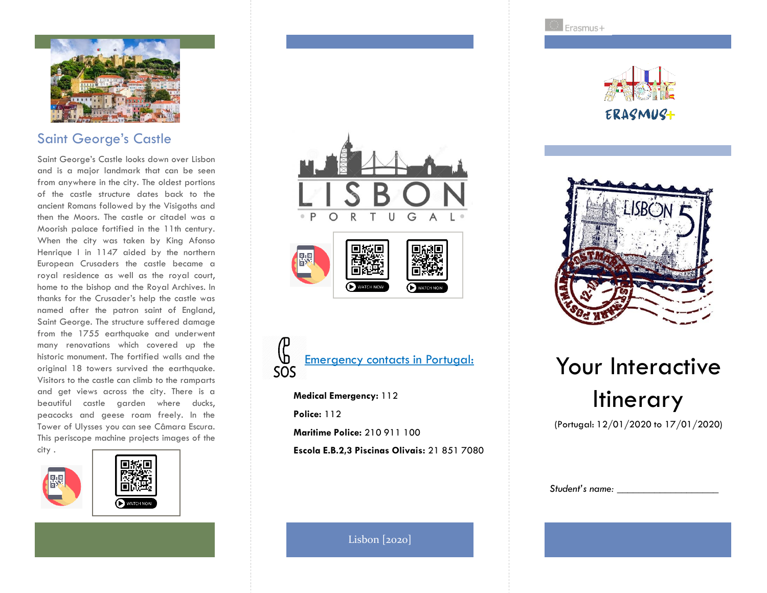

## Saint George's Castle

Saint George's Castle looks down over Lisbon and is a major landmark that can be seen from anywhere in the city. The oldest portions of the castle structure dates back to the ancient Romans followed by the Visigoths and then the Moors. The castle or citadel was a Moorish palace fortified in the 11th century. When the city was taken by King Afonso Henrique I in 1147 aided by the northern European Crusaders the castle became a royal residence as well as the royal court, home to the bishop and the Royal Archives. In thanks for the Crusader's help the castle was named after the patron saint of England, Saint George. The structure suffered damage from the 1755 earthquake and underwent many renovations which covered up the historic monument. The fortified walls and the original 18 towers survived the earthquake. Visitors to the castle can climb to the ramparts and get views across the city. There is a beautiful castle garden where ducks, peacocks and geese roam freely. In the Tower of Ulysses you can see Câmara Escura. This periscope machine projects images of the city .











**Medical Emergency:** 112 **Police:** 112 **Maritime Police:** 210 911 100

**Escola E.B.2,3 Piscinas Olivais:** 21 851 7080

Erasmus+





# Your Interactive **Itinerary**

(Portugal: 12/01/2020 to 17/01/2020)

| Student's name: |  |
|-----------------|--|
|-----------------|--|

Lisbon [2020]